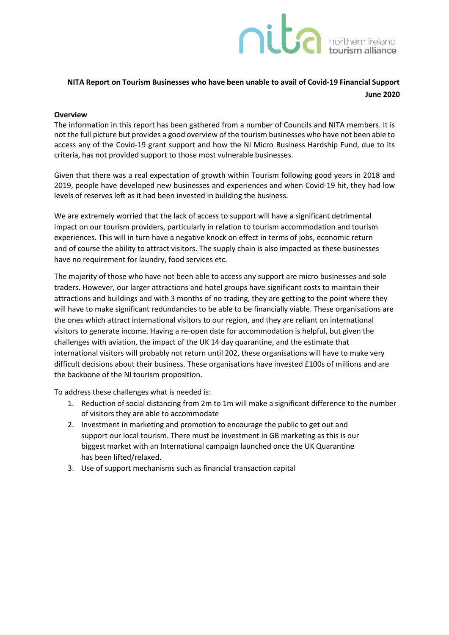# **Dides A porthern ireland**

## **NITA Report on Tourism Businesses who have been unable to avail of Covid-19 Financial Support June 2020**

### **Overview**

The information in this report has been gathered from a number of Councils and NITA members. It is not the full picture but provides a good overview of the tourism businesses who have not been able to access any of the Covid-19 grant support and how the NI Micro Business Hardship Fund, due to its criteria, has not provided support to those most vulnerable businesses.

Given that there was a real expectation of growth within Tourism following good years in 2018 and 2019, people have developed new businesses and experiences and when Covid-19 hit, they had low levels of reserves left as it had been invested in building the business.

We are extremely worried that the lack of access to support will have a significant detrimental impact on our tourism providers, particularly in relation to tourism accommodation and tourism experiences. This will in turn have a negative knock on effect in terms of jobs, economic return and of course the ability to attract visitors. The supply chain is also impacted as these businesses have no requirement for laundry, food services etc.

The majority of those who have not been able to access any support are micro businesses and sole traders. However, our larger attractions and hotel groups have significant costs to maintain their attractions and buildings and with 3 months of no trading, they are getting to the point where they will have to make significant redundancies to be able to be financially viable. These organisations are the ones which attract international visitors to our region, and they are reliant on international visitors to generate income. Having a re-open date for accommodation is helpful, but given the challenges with aviation, the impact of the UK 14 day quarantine, and the estimate that international visitors will probably not return until 202, these organisations will have to make very difficult decisions about their business. These organisations have invested £100s of millions and are the backbone of the NI tourism proposition.

To address these challenges what is needed is:

- 1. Reduction of social distancing from 2m to 1m will make a significant difference to the number of visitors they are able to accommodate
- 2. Investment in marketing and promotion to encourage the public to get out and support our local tourism. There must be investment in GB marketing as this is our biggest market with an International campaign launched once the UK Quarantine has been lifted/relaxed.
- 3. Use of support mechanisms such as financial transaction capital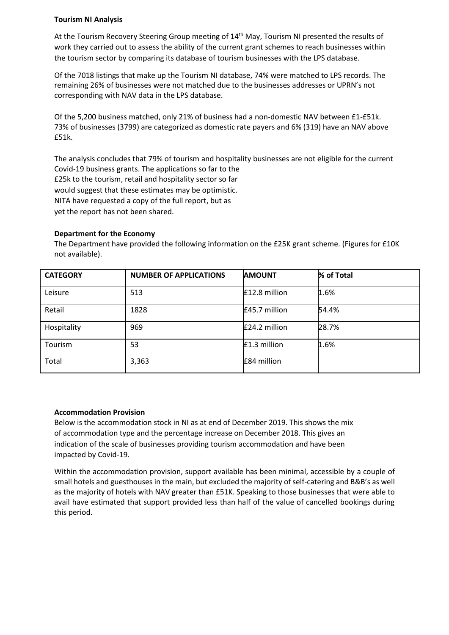### **Tourism NI Analysis**

At the Tourism Recovery Steering Group meeting of 14th May, Tourism NI presented the results of work they carried out to assess the ability of the current grant schemes to reach businesses within the tourism sector by comparing its database of tourism businesses with the LPS database.

Of the 7018 listings that make up the Tourism NI database, 74% were matched to LPS records. The remaining 26% of businesses were not matched due to the businesses addresses or UPRN's not corresponding with NAV data in the LPS database.

Of the 5,200 business matched, only 21% of business had a non-domestic NAV between £1-£51k. 73% of businesses (3799) are categorized as domestic rate payers and 6% (319) have an NAV above £51k.

The analysis concludes that 79% of tourism and hospitality businesses are not eligible for the current Covid-19 business grants. The applications so far to the £25k to the tourism, retail and hospitality sector so far would suggest that these estimates may be optimistic. NITA have requested a copy of the full report, but as yet the report has not been shared.

### **Department for the Economy**

The Department have provided the following information on the £25K grant scheme. (Figures for £10K not available).

| <b>CATEGORY</b> | <b>NUMBER OF APPLICATIONS</b> | <b>AMOUNT</b> | % of Total |
|-----------------|-------------------------------|---------------|------------|
| Leisure         | 513                           | £12.8 million | 1.6%       |
| Retail          | 1828                          | £45.7 million | 54.4%      |
| Hospitality     | 969                           | £24.2 million | 28.7%      |
| Tourism         | 53                            | £1.3 million  | 1.6%       |
| Total           | 3,363                         | £84 million   |            |

### **Accommodation Provision**

Below is the accommodation stock in NI as at end of December 2019. This shows the mix of accommodation type and the percentage increase on December 2018. This gives an indication of the scale of businesses providing tourism accommodation and have been impacted by Covid-19.

Within the accommodation provision, support available has been minimal, accessible by a couple of small hotels and guesthouses in the main, but excluded the majority of self-catering and B&B's as well as the majority of hotels with NAV greater than £51K. Speaking to those businesses that were able to avail have estimated that support provided less than half of the value of cancelled bookings during this period.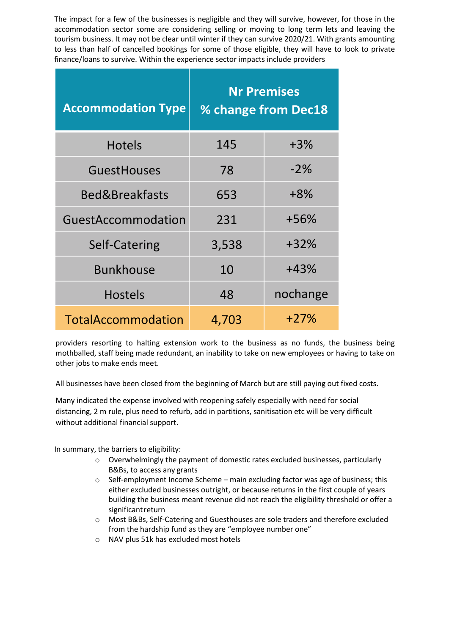The impact for a few of the businesses is negligible and they will survive, however, for those in the accommodation sector some are considering selling or moving to long term lets and leaving the tourism business. It may not be clear until winter if they can survive 2020/21. With grants amounting to less than half of cancelled bookings for some of those eligible, they will have to look to private finance/loans to survive. Within the experience sector impacts include providers

| <b>Accommodation Type</b> | <b>Nr Premises</b><br>% change from Dec18 |          |
|---------------------------|-------------------------------------------|----------|
| <b>Hotels</b>             | 145                                       | $+3\%$   |
| <b>GuestHouses</b>        | 78                                        | $-2%$    |
| <b>Bed&amp;Breakfasts</b> | 653                                       | $+8%$    |
| GuestAccommodation        | 231                                       | +56%     |
| Self-Catering             | 3,538                                     | $+32%$   |
| <b>Bunkhouse</b>          | 10                                        | +43%     |
| <b>Hostels</b>            | 48                                        | nochange |
| TotalAccommodation        | 4,703                                     | $+27%$   |

providers resorting to halting extension work to the business as no funds, the business being mothballed, staff being made redundant, an inability to take on new employees or having to take on other jobs to make ends meet.

All businesses have been closed from the beginning of March but are still paying out fixed costs.

Many indicated the expense involved with reopening safely especially with need for social distancing, 2 m rule, plus need to refurb, add in partitions, sanitisation etc will be very difficult without additional financial support.

In summary, the barriers to eligibility:

- o Overwhelmingly the payment of domestic rates excluded businesses, particularly B&Bs, to access any grants
- $\circ$  Self-employment Income Scheme main excluding factor was age of business; this either excluded businesses outright, or because returns in the first couple of years building the business meant revenue did not reach the eligibility threshold or offer a significantreturn
- o Most B&Bs, Self-Catering and Guesthouses are sole traders and therefore excluded from the hardship fund as they are "employee number one"
- o NAV plus 51k has excluded most hotels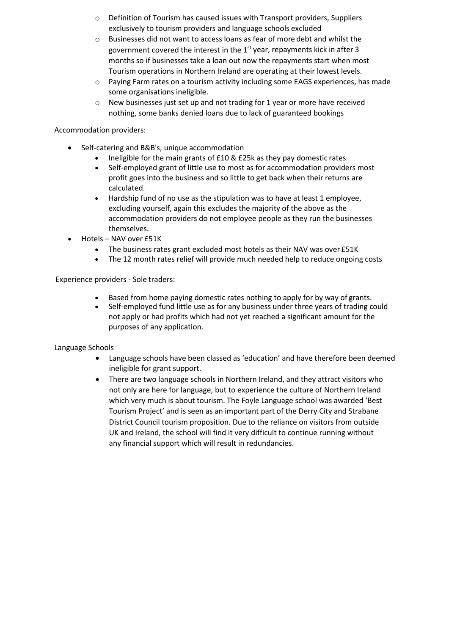- o Definition of Tourism has caused issues with Transport providers, Suppliers exclusively to tourism providers and language schools excluded
- o Businesses did not want to access loans as fear of more debt and whilst the government covered the interest in the  $1<sup>st</sup>$  year, repayments kick in after 3 months so if businesses take a loan out now the repayments start when most Tourism operations in Northern Ireland are operating at their lowest levels.
- $\circ$  Paying Farm rates on a tourism activity including some EAGS experiences, has made some organisations ineligible.
- o New businesses just set up and not trading for 1 year or more have received nothing, some banks denied loans due to lack of guaranteed bookings

Accommodation providers:

- Self-catering and B&B's, unique accommodation
	- Ineligible for the main grants of £10 & £25k as they pay domestic rates.
	- Self-employed grant of little use to most as for accommodation providers most profit goes into the business and so little to get back when their returns are calculated.
	- Hardship fund of no use as the stipulation was to have at least 1 employee, excluding yourself, again this excludes the majority of the above as the accommodation providers do not employee people as they run the businesses themselves.
- Hotels NAV over £51K
	- The business rates grant excluded most hotels as their NAV was over £51K
	- The 12 month rates relief will provide much needed help to reduce ongoing costs

Experience providers - Sole traders:

- Based from home paying domestic rates nothing to apply for by way of grants.
- Self-employed fund little use as for any business under three years of trading could not apply or had profits which had not yet reached a significant amount for the purposes of any application.

Language Schools

- Language schools have been classed as 'education' and have therefore been deemed ineligible for grant support.
- There are two language schools in Northern Ireland, and they attract visitors who not only are here for language, but to experience the culture of Northern Ireland which very much is about tourism. The Foyle Language school was awarded 'Best Tourism Project' and is seen as an important part of the Derry City and Strabane District Council tourism proposition. Due to the reliance on visitors from outside UK and Ireland, the school will find it very difficult to continue running without any financial support which will result in redundancies.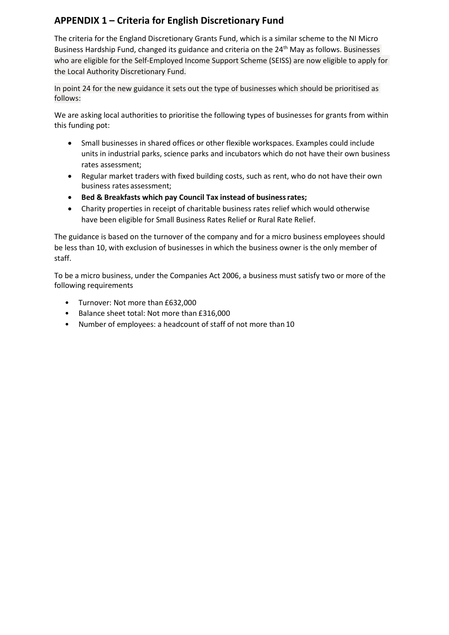# **APPENDIX 1 – Criteria for English Discretionary Fund**

The criteria for the England Discretionary Grants Fund, which is a similar scheme to the NI Micro Business Hardship Fund, changed its guidance and criteria on the 24<sup>th</sup> May as follows. Businesses who are eligible for the Self-Employed Income Support Scheme (SEISS) are now eligible to apply for the Local Authority Discretionary Fund.

In point 24 for the new guidance it sets out the type of businesses which should be prioritised as follows:

We are asking local authorities to prioritise the following types of businesses for grants from within this funding pot:

- Small businesses in shared offices or other flexible workspaces. Examples could include units in industrial parks, science parks and incubators which do not have their own business rates assessment;
- Regular market traders with fixed building costs, such as rent, who do not have their own business rates assessment;
- **Bed & Breakfasts which pay Council Tax instead of businessrates;**
- Charity properties in receipt of charitable business rates relief which would otherwise have been eligible for Small Business Rates Relief or Rural Rate Relief.

The guidance is based on the turnover of the company and for a micro business employees should be less than 10, with exclusion of businesses in which the business owner is the only member of staff.

To be a micro business, under the Companies Act 2006, a business must satisfy two or more of the following requirements

- Turnover: Not more than £632,000
- Balance sheet total: Not more than £316,000
- Number of employees: a headcount of staff of not more than 10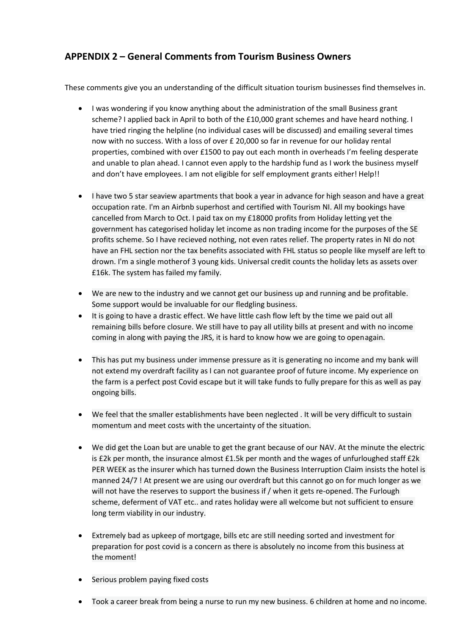# **APPENDIX 2 – General Comments from Tourism Business Owners**

These comments give you an understanding of the difficult situation tourism businesses find themselves in.

- I was wondering if you know anything about the administration of the small Business grant scheme? I applied back in April to both of the £10,000 grant schemes and have heard nothing. I have tried ringing the helpline (no individual cases will be discussed) and emailing several times now with no success. With a loss of over £ 20,000 so far in revenue for our holiday rental properties, combined with over £1500 to pay out each month in overheads I'm feeling desperate and unable to plan ahead. I cannot even apply to the hardship fund as I work the business myself and don't have employees. I am not eligible for self employment grants either! Help!!
- I have two 5 star seaview apartments that book a year in advance for high season and have a great occupation rate. I'm an Airbnb superhost and certified with Tourism NI. All my bookings have cancelled from March to Oct. I paid tax on my £18000 profits from Holiday letting yet the government has categorised holiday let income as non trading income for the purposes of the SE profits scheme. So I have recieved nothing, not even rates relief. The property rates in NI do not have an FHL section nor the tax benefits associated with FHL status so people like myself are left to drown. I'm a single motherof 3 young kids. Universal credit counts the holiday lets as assets over £16k. The system has failed my family.
- We are new to the industry and we cannot get our business up and running and be profitable. Some support would be invaluable for our fledgling business.
- It is going to have a drastic effect. We have little cash flow left by the time we paid out all remaining bills before closure. We still have to pay all utility bills at present and with no income coming in along with paying the JRS, it is hard to know how we are going to openagain.
- This has put my business under immense pressure as it is generating no income and my bank will not extend my overdraft facility as I can not guarantee proof of future income. My experience on the farm is a perfect post Covid escape but it will take funds to fully prepare for this as well as pay ongoing bills.
- We feel that the smaller establishments have been neglected . It will be very difficult to sustain momentum and meet costs with the uncertainty of the situation.
- We did get the Loan but are unable to get the grant because of our NAV. At the minute the electric is £2k per month, the insurance almost £1.5k per month and the wages of unfurloughed staff £2k PER WEEK as the insurer which has turned down the Business Interruption Claim insists the hotel is manned 24/7 ! At present we are using our overdraft but this cannot go on for much longer as we will not have the reserves to support the business if / when it gets re-opened. The Furlough scheme, deferment of VAT etc.. and rates holiday were all welcome but not sufficient to ensure long term viability in our industry.
- Extremely bad as upkeep of mortgage, bills etc are still needing sorted and investment for preparation for post covid is a concern as there is absolutely no income from this business at the moment!
- Serious problem paying fixed costs
- Took a career break from being a nurse to run my new business. 6 children at home and no income.